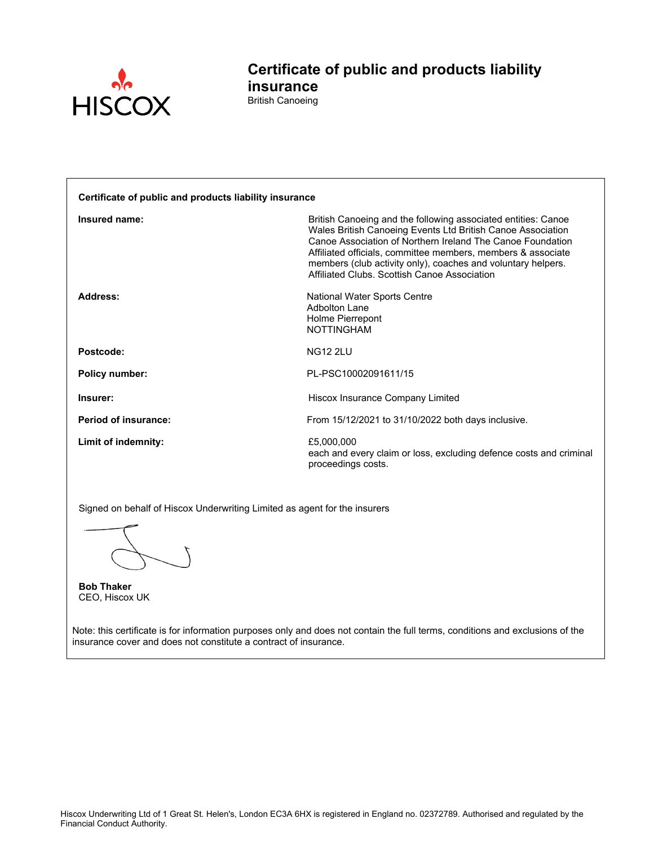

**Certificate of public and products liability insurance** British Canoeing

| Certificate of public and products liability insurance |                                                                                                                                                                                                                                                                                                                                                                            |  |
|--------------------------------------------------------|----------------------------------------------------------------------------------------------------------------------------------------------------------------------------------------------------------------------------------------------------------------------------------------------------------------------------------------------------------------------------|--|
| Insured name:                                          | British Canoeing and the following associated entities: Canoe<br>Wales British Canoeing Events Ltd British Canoe Association<br>Canoe Association of Northern Ireland The Canoe Foundation<br>Affiliated officials, committee members, members & associate<br>members (club activity only), coaches and voluntary helpers.<br>Affiliated Clubs, Scottish Canoe Association |  |
| Address:                                               | National Water Sports Centre<br>Adbolton Lane<br>Holme Pierrepont<br><b>NOTTINGHAM</b>                                                                                                                                                                                                                                                                                     |  |
| Postcode:                                              | <b>NG12 2LU</b>                                                                                                                                                                                                                                                                                                                                                            |  |
| <b>Policy number:</b>                                  | PL-PSC10002091611/15                                                                                                                                                                                                                                                                                                                                                       |  |
| Insurer:                                               | Hiscox Insurance Company Limited                                                                                                                                                                                                                                                                                                                                           |  |
| Period of insurance:                                   | From 15/12/2021 to 31/10/2022 both days inclusive.                                                                                                                                                                                                                                                                                                                         |  |
| Limit of indemnity:                                    | £5,000,000<br>each and every claim or loss, excluding defence costs and criminal<br>proceedings costs.                                                                                                                                                                                                                                                                     |  |

Signed on behalf of Hiscox Underwriting Limited as agent for the insurers

**Bob Thaker** CEO, Hiscox UK

Note: this certificate is for information purposes only and does not contain the full terms, conditions and exclusions of the insurance cover and does not constitute a contract of insurance.